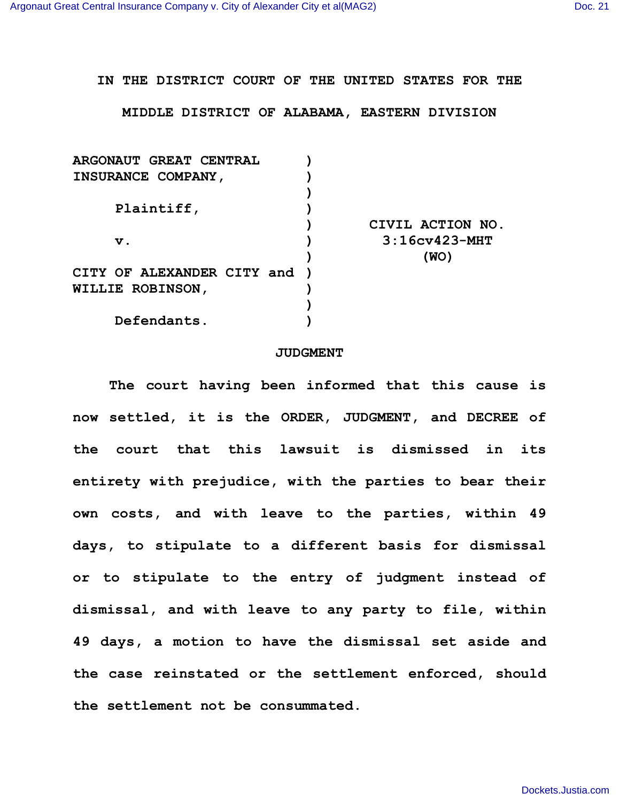**IN THE DISTRICT COURT OF THE UNITED STATES FOR THE**

**MIDDLE DISTRICT OF ALABAMA, EASTERN DIVISION**

| <b>ARGONAUT GREAT CENTRAL</b> |                  |
|-------------------------------|------------------|
| INSURANCE COMPANY,            |                  |
|                               |                  |
| Plaintiff,                    |                  |
|                               | CIVIL ACTION NO. |
| $\mathbf v$ .                 | $3:16cy423-MHT$  |
|                               | (WO)             |
| CITY OF ALEXANDER CITY and )  |                  |
| <b>WILLIE ROBINSON,</b>       |                  |
|                               |                  |
| Defendants.                   |                  |

## **JUDGMENT**

**The court having been informed that this cause is now settled, it is the ORDER, JUDGMENT, and DECREE of the court that this lawsuit is dismissed in its entirety with prejudice, with the parties to bear their own costs, and with leave to the parties, within 49 days, to stipulate to a different basis for dismissal or to stipulate to the entry of judgment instead of dismissal, and with leave to any party to file, within 49 days, a motion to have the dismissal set aside and the case reinstated or the settlement enforced, should the settlement not be consummated.**